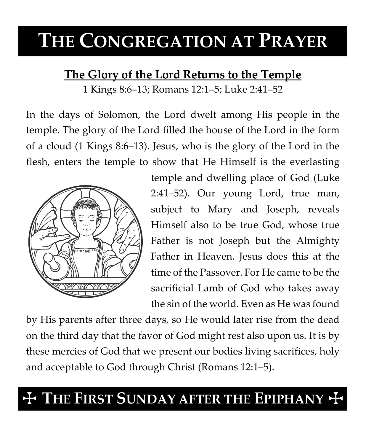# **THE CONGREGATION AT PRAYER**

### **The Glory of the Lord Returns to the Temple**

1 Kings 8:6–13; Romans 12:1–5; Luke 2:41–52

In the days of Solomon, the Lord dwelt among His people in the temple. The glory of the Lord filled the house of the Lord in the form of a cloud (1 Kings 8:6–13). Jesus, who is the glory of the Lord in the flesh, enters the temple to show that He Himself is the everlasting



temple and dwelling place of God (Luke 2:41–52). Our young Lord, true man, subject to Mary and Joseph, reveals Himself also to be true God, whose true Father is not Joseph but the Almighty Father in Heaven. Jesus does this at the time of the Passover. For He came to be the sacrificial Lamb of God who takes away the sin of the world. Even as He was found

by His parents after three days, so He would later rise from the dead on the third day that the favor of God might rest also upon us. It is by these mercies of God that we present our bodies living sacrifices, holy and acceptable to God through Christ (Romans 12:1–5).

## $+$  The First Sunday after the Epiphany  $+$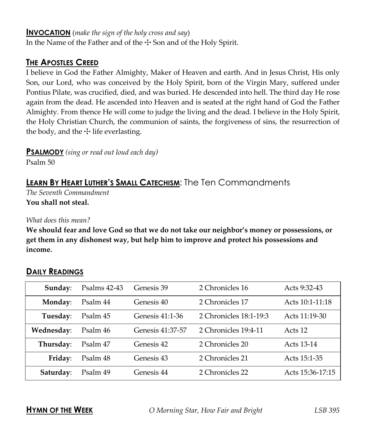#### **INVOCATION** (*make the sign of the holy cross and say*)

In the Name of the Father and of the  $\pm$  Son and of the Holy Spirit.

### **THE APOSTLES CREED**

I believe in God the Father Almighty, Maker of Heaven and earth. And in Jesus Christ, His only Son, our Lord, who was conceived by the Holy Spirit, born of the Virgin Mary, suffered under Pontius Pilate, was crucified, died, and was buried. He descended into hell. The third day He rose again from the dead. He ascended into Heaven and is seated at the right hand of God the Father Almighty. From thence He will come to judge the living and the dead. I believe in the Holy Spirit, the Holy Christian Church, the communion of saints, the forgiveness of sins, the resurrection of the body, and the  $\pm$  life everlasting.

**PSALMODY** *(sing or read out loud each day)*

Psalm 50

### **LEARN BY HEART LUTHER'S SMALL CATECHISM**: The Ten Commandments

*The Seventh Commandment* **You shall not steal.**

*What does this mean?*

**We should fear and love God so that we do not take our neighbor's money or possessions, or get them in any dishonest way, but help him to improve and protect his possessions and income.**

### **Sunday:** Psalms 42-43 Genesis 39 2 Chronicles 16 Acts 9:32-43 **Monday:** Psalm 44 Genesis 40 2 Chronicles 17 Acts 10:1-11:18 **Tuesday**: Psalm 45 Genesis 41:1-36 2 Chronicles 18:1-19:3 Acts 11:19-30 **Wednesday**: Psalm 46 Genesis 41:37-57 2 Chronicles 19:4-11 Acts 12 **Thursday**: Psalm 47 Genesis 42 2 Chronicles 20 Acts 13-14 **Friday**: Psalm 48 Genesis 43 2 Chronicles 21 Acts 15:1-35 **Saturday:** Psalm 49 Genesis 44 2 Chronicles 22 Acts 15:36-17:15

### **DAILY READINGS**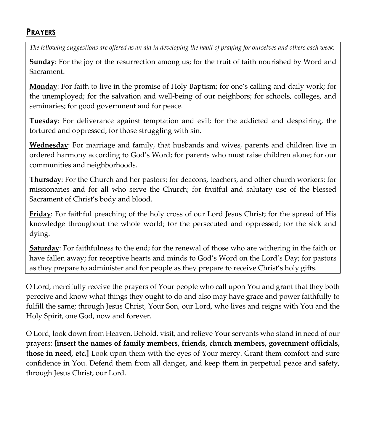### **PRAYERS**

*The following suggestions are offered as an aid in developing the habit of praying for ourselves and others each week:*

**Sunday**: For the joy of the resurrection among us; for the fruit of faith nourished by Word and Sacrament.

**Monday**: For faith to live in the promise of Holy Baptism; for one's calling and daily work; for the unemployed; for the salvation and well-being of our neighbors; for schools, colleges, and seminaries; for good government and for peace.

**Tuesday**: For deliverance against temptation and evil; for the addicted and despairing, the tortured and oppressed; for those struggling with sin.

**Wednesday**: For marriage and family, that husbands and wives, parents and children live in ordered harmony according to God's Word; for parents who must raise children alone; for our communities and neighborhoods.

**Thursday**: For the Church and her pastors; for deacons, teachers, and other church workers; for missionaries and for all who serve the Church; for fruitful and salutary use of the blessed Sacrament of Christ's body and blood.

**Friday**: For faithful preaching of the holy cross of our Lord Jesus Christ; for the spread of His knowledge throughout the whole world; for the persecuted and oppressed; for the sick and dying.

**Saturday**: For faithfulness to the end; for the renewal of those who are withering in the faith or have fallen away; for receptive hearts and minds to God's Word on the Lord's Day; for pastors as they prepare to administer and for people as they prepare to receive Christ's holy gifts.

O Lord, mercifully receive the prayers of Your people who call upon You and grant that they both perceive and know what things they ought to do and also may have grace and power faithfully to fulfill the same; through Jesus Christ, Your Son, our Lord, who lives and reigns with You and the Holy Spirit, one God, now and forever.

O Lord, look down from Heaven. Behold, visit, and relieve Your servants who stand in need of our prayers: **[insert the names of family members, friends, church members, government officials, those in need, etc.]** Look upon them with the eyes of Your mercy. Grant them comfort and sure confidence in You. Defend them from all danger, and keep them in perpetual peace and safety, through Jesus Christ, our Lord.